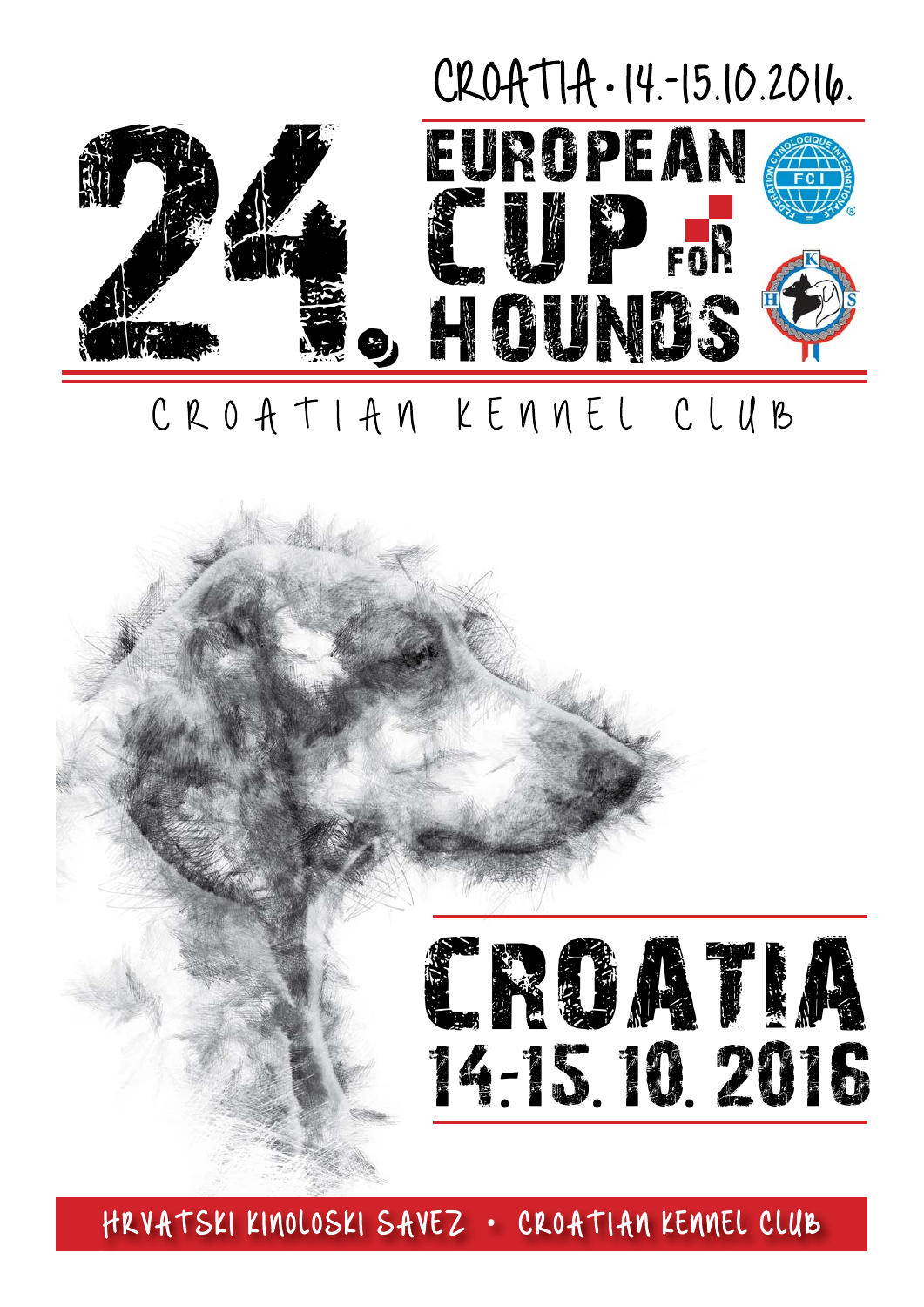## CROATIA •14.-15.10.2016.



## CROATIAN KENNEL CLUB



HRVATSKI KINOLOSKI SAVEZ · CROATIAN KENNEL CLUB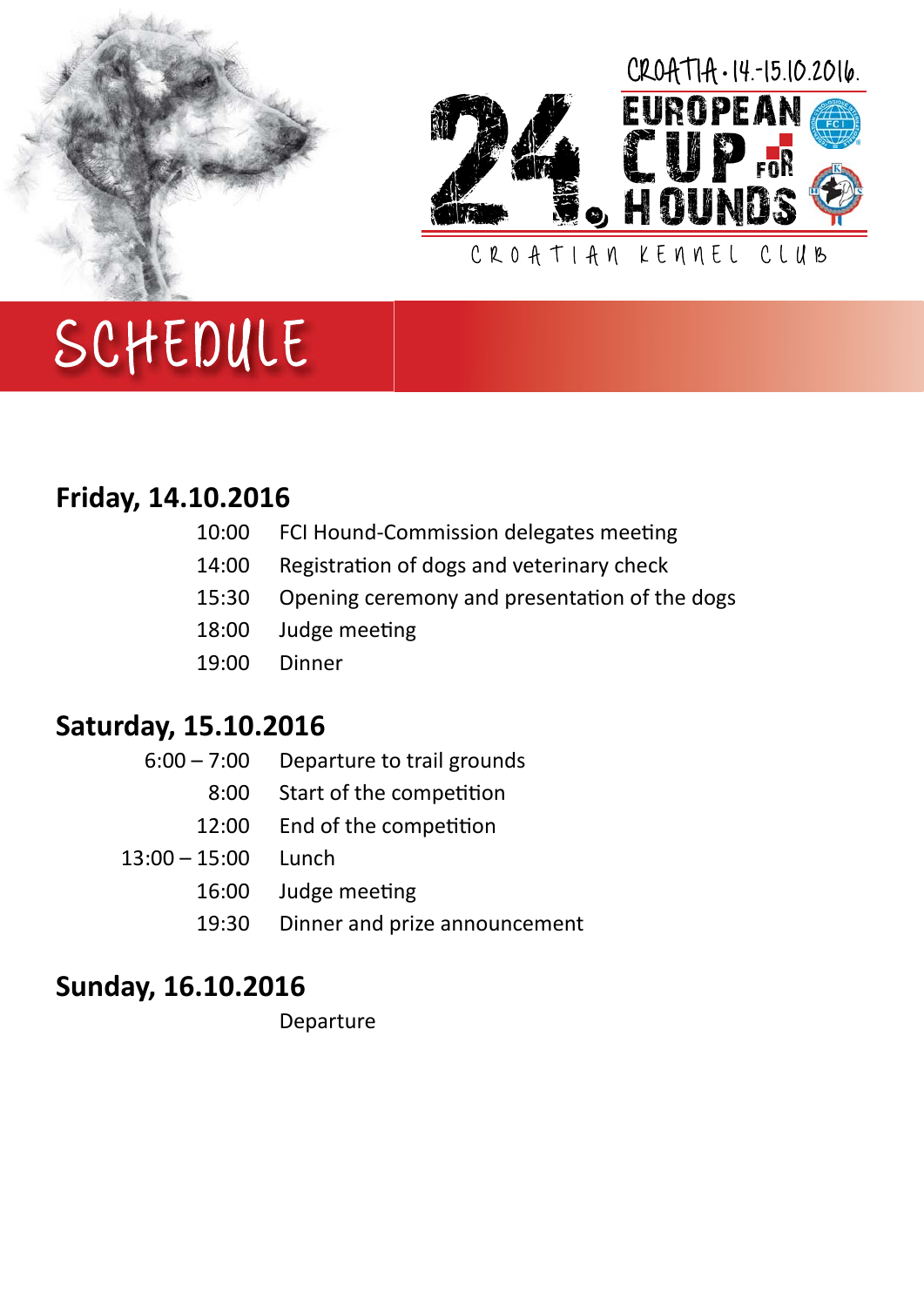



#### **Friday, 14.10.2016**

| 10:00 | FCI Hound-Commission delegates meeting |  |
|-------|----------------------------------------|--|
|-------|----------------------------------------|--|

- 14:00 Registration of dogs and veterinary check
- 15:30 Opening ceremony and presentation of the dogs

FOR

- 18:00 Judge meeting
- 19:00 Dinner

#### **Saturday, 15.10.2016**

- 6:00 7:00 Departure to trail grounds
	- 8:00 Start of the competition
	- 12:00 End of the competition
- 13:00 15:00 Lunch
	- 16:00 Judge meeting
	- 19:30 Dinner and prize announcement

#### **Sunday, 16.10.2016**

Departure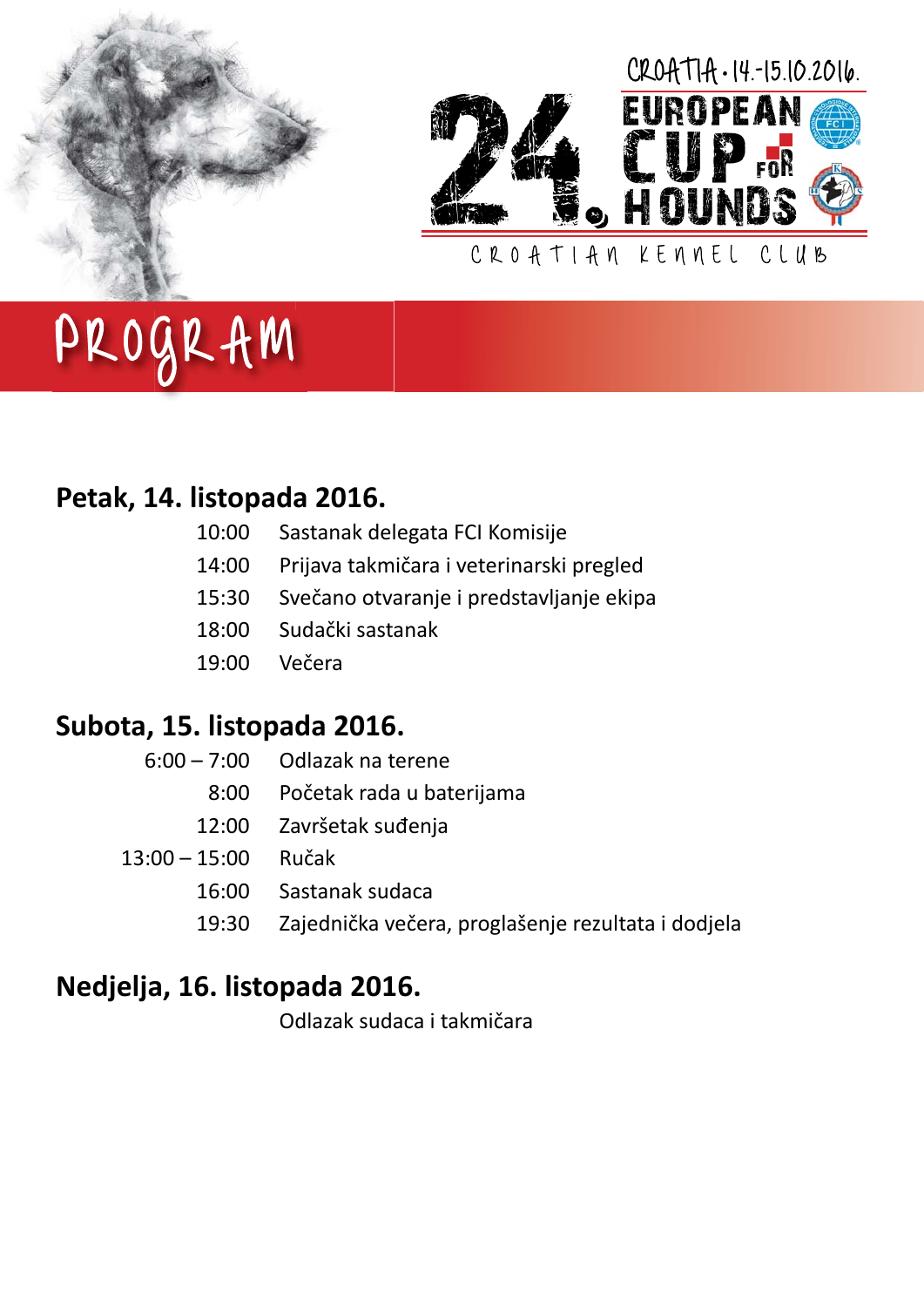



# PROGRAM

#### **Petak, 14. listopada 2016.**

| 10:00 Sastanak delegata FCI Komisije |
|--------------------------------------|
|                                      |

- 14:00 Prijava takmičara i veterinarski pregled
- 15:30 Svečano otvaranje i predstavljanje ekipa
- 18:00 Sudački sastanak
- 19:00 Večera

#### **Subota, 15. listopada 2016.**

|                       | $6:00 - 7:00$ Odlazak na terene                    |
|-----------------------|----------------------------------------------------|
|                       | 8:00 Početak rada u baterijama                     |
|                       | 12:00 Završetak suđenja                            |
| $13:00 - 15:00$ Ručak |                                                    |
| 16:00                 | Sastanak sudaca                                    |
| 19:30                 | Zajednička večera, proglašenje rezultata i dodjela |

### **Nedjelja, 16. listopada 2016.**

Odlazak sudaca i takmičara